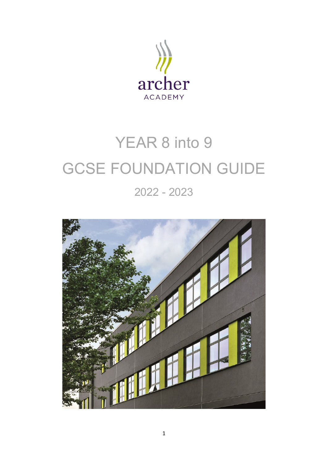

# YEAR 8 into 9 GCSE FOUNDATION GUIDE 2022 - 2023

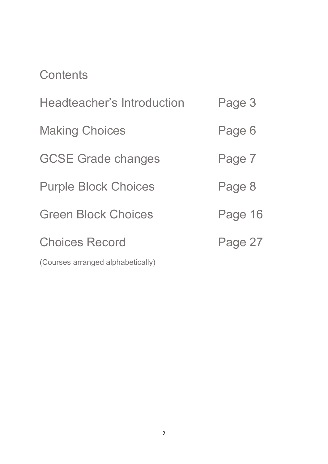## **Contents**

| <b>Headteacher's Introduction</b> | Page 3  |
|-----------------------------------|---------|
| <b>Making Choices</b>             | Page 6  |
| <b>GCSE Grade changes</b>         | Page 7  |
| <b>Purple Block Choices</b>       | Page 8  |
| <b>Green Block Choices</b>        | Page 16 |
| <b>Choices Record</b>             | Page 27 |
| (Courses arranged alphabetically) |         |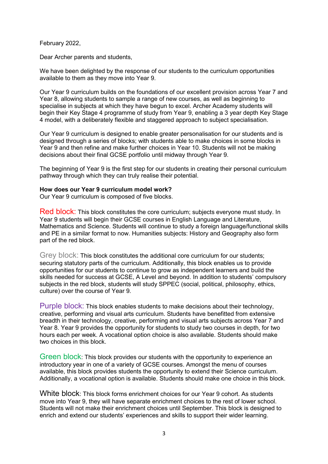February 2022,

Dear Archer parents and students,

We have been delighted by the response of our students to the curriculum opportunities available to them as they move into Year 9.

Our Year 9 curriculum builds on the foundations of our excellent provision across Year 7 and Year 8, allowing students to sample a range of new courses, as well as beginning to specialise in subjects at which they have begun to excel. Archer Academy students will begin their Key Stage 4 programme of study from Year 9, enabling a 3 year depth Key Stage 4 model, with a deliberately flexible and staggered approach to subject specialisation.

Our Year 9 curriculum is designed to enable greater personalisation for our students and is designed through a series of blocks; with students able to make choices in some blocks in Year 9 and then refine and make further choices in Year 10. Students will not be making decisions about their final GCSE portfolio until midway through Year 9.

The beginning of Year 9 is the first step for our students in creating their personal curriculum pathway through which they can truly realise their potential.

#### **How does our Year 9 curriculum model work?**

Our Year 9 curriculum is composed of five blocks.

Red block: This block constitutes the core curriculum; subjects everyone must study. In Year 9 students will begin their GCSE courses in English Language and Literature, Mathematics and Science. Students will continue to study a foreign language/functional skills and PE in a similar format to now. Humanities subjects: History and Geography also form part of the red block.

Grey block: This block constitutes the additional core curriculum for our students; securing statutory parts of the curriculum. Additionally, this block enables us to provide opportunities for our students to continue to grow as independent learners and build the skills needed for success at GCSE, A Level and beyond. In addition to students' compulsory subjects in the red block, students will study SPPEC (social, political, philosophy, ethics, culture) over the course of Year 9.

Purple block: This block enables students to make decisions about their technology, creative, performing and visual arts curriculum. Students have benefitted from extensive breadth in their technology, creative, performing and visual arts subjects across Year 7 and Year 8. Year 9 provides the opportunity for students to study two courses in depth, for two hours each per week. A vocational option choice is also available. Students should make two choices in this block.

Green block: This block provides our students with the opportunity to experience an introductory year in one of a variety of GCSE courses. Amongst the menu of courses available, this block provides students the opportunity to extend their Science curriculum. Additionally, a vocational option is available. Students should make one choice in this block.

White block: This block forms enrichment choices for our Year 9 cohort. As students move into Year 9, they will have separate enrichment choices to the rest of lower school. Students will not make their enrichment choices until September. This block is designed to enrich and extend our students' experiences and skills to support their wider learning.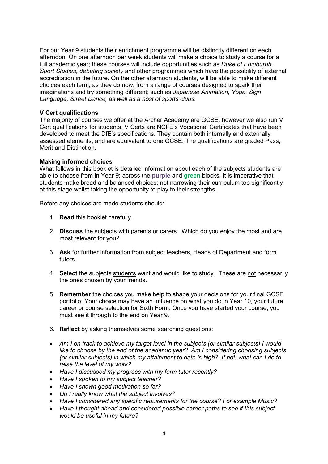For our Year 9 students their enrichment programme will be distinctly different on each afternoon. On one afternoon per week students will make a choice to study a course for a full academic year; these courses will include opportunities such as *Duke of Edinburgh, Sport Studies, debating society* and other programmes which have the possibility of external accreditation in the future. On the other afternoon students, will be able to make different choices each term, as they do now, from a range of courses designed to spark their imaginations and try something different; such as *Japanese Animation, Yoga, Sign Language, Street Dance, as well as a host of sports clubs.* 

#### **V Cert qualifications**

The majority of courses we offer at the Archer Academy are GCSE, however we also run V Cert qualifications for students. V Certs are NCFE's Vocational Certificates that have been developed to meet the DfE's specifications. They contain both internally and externally assessed elements, and are equivalent to one GCSE. The qualifications are graded Pass, Merit and Distinction.

#### **Making informed choices**

What follows in this booklet is detailed information about each of the subjects students are able to choose from in Year 9; across the **purple** and **green** blocks. It is imperative that students make broad and balanced choices; not narrowing their curriculum too significantly at this stage whilst taking the opportunity to play to their strengths.

Before any choices are made students should:

- 1. **Read** this booklet carefully.
- 2. **Discuss** the subjects with parents or carers. Which do you enjoy the most and are most relevant for you?
- 3. **Ask** for further information from subject teachers, Heads of Department and form tutors.
- 4. **Select** the subjects students want and would like to study. These are not necessarily the ones chosen by your friends.
- 5. **Remember** the choices you make help to shape your decisions for your final GCSE portfolio. Your choice may have an influence on what you do in Year 10, your future career or course selection for Sixth Form. Once you have started your course, you must see it through to the end on Year 9.
- 6. **Reflect** by asking themselves some searching questions:
- *Am I on track to achieve my target level in the subjects (or similar subjects) I would like to choose by the end of the academic year? Am I considering choosing subjects (or similar subjects) in which my attainment to date is high? If not, what can I do to raise the level of my work?*
- *Have I discussed my progress with my form tutor recently?*
- *Have I spoken to my subject teacher?*
- *Have I shown good motivation so far?*
- *Do I really know what the subject involves?*
- *Have I considered any specific requirements for the course? For example Music?*
- *Have I thought ahead and considered possible career paths to see if this subject would be useful in my future?*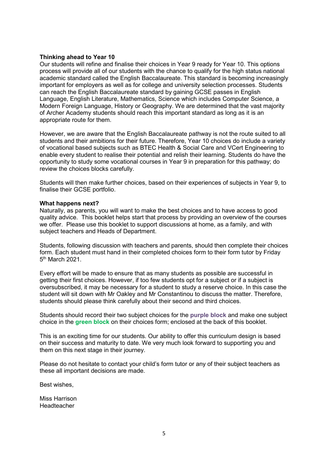#### **Thinking ahead to Year 10**

Our students will refine and finalise their choices in Year 9 ready for Year 10. This options process will provide all of our students with the chance to qualify for the high status national academic standard called the English Baccalaureate. This standard is becoming increasingly important for employers as well as for college and university selection processes. Students can reach the English Baccalaureate standard by gaining GCSE passes in English Language, English Literature, Mathematics, Science which includes Computer Science, a Modern Foreign Language, History or Geography. We are determined that the vast majority of Archer Academy students should reach this important standard as long as it is an appropriate route for them.

However, we are aware that the English Baccalaureate pathway is not the route suited to all students and their ambitions for their future. Therefore, Year 10 choices do include a variety of vocational based subjects such as BTEC Health & Social Care and VCert Engineering to enable every student to realise their potential and relish their learning. Students do have the opportunity to study some vocational courses in Year 9 in preparation for this pathway; do review the choices blocks carefully.

Students will then make further choices, based on their experiences of subjects in Year 9, to finalise their GCSE portfolio.

#### **What happens next?**

Naturally, as parents, you will want to make the best choices and to have access to good quality advice. This booklet helps start that process by providing an overview of the courses we offer. Please use this booklet to support discussions at home, as a family, and with subject teachers and Heads of Department.

Students, following discussion with teachers and parents, should then complete their choices form. Each student must hand in their completed choices form to their form tutor by Friday 5th March 2021.

Every effort will be made to ensure that as many students as possible are successful in getting their first choices. However, if too few students opt for a subject or if a subject is oversubscribed, it may be necessary for a student to study a reserve choice. In this case the student will sit down with Mr Oakley and Mr Constantinou to discuss the matter. Therefore, students should please think carefully about their second and third choices.

Students should record their two subject choices for the **purple block** and make one subject choice in the **green block** on their choices form; enclosed at the back of this booklet.

This is an exciting time for our students. Our ability to offer this curriculum design is based on their success and maturity to date. We very much look forward to supporting you and them on this next stage in their journey.

Please do not hesitate to contact your child's form tutor or any of their subject teachers as these all important decisions are made.

Best wishes,

Miss Harrison Headteacher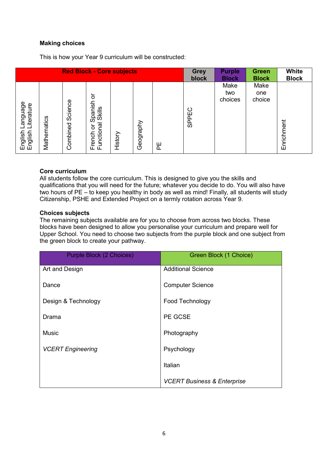#### **Making choices**

This is how your Year 9 curriculum will be constructed:

| <b>Red Block - Core subjects</b>               |             |                     |                                                                          | <b>Grey</b> | <b>Purple</b> | <b>Green</b> | <b>White</b> |                        |                       |            |
|------------------------------------------------|-------------|---------------------|--------------------------------------------------------------------------|-------------|---------------|--------------|--------------|------------------------|-----------------------|------------|
|                                                |             |                     |                                                                          | block       | <b>Block</b>  | <b>Block</b> | <b>Block</b> |                        |                       |            |
| anguage<br>iterature<br>nglish<br>nglish<br>шш | Mathematics | Science<br>Combined | ১<br>Spanish<br><b>Skills</b><br>Γã<br>১<br>unction<br>French<br>Functio | History     | Geography     | 씬            | SPPEC        | Make<br>two<br>choices | Make<br>one<br>choice | Enrichment |

#### **Core curriculum**

All students follow the core curriculum. This is designed to give you the skills and qualifications that you will need for the future; whatever you decide to do. You will also have two hours of PE – to keep you healthy in body as well as mind! Finally, all students will study Citizenship, PSHE and Extended Project on a termly rotation across Year 9.

#### **Choices subjects**

The remaining subjects available are for you to choose from across two blocks. These blocks have been designed to allow you personalise your curriculum and prepare well for Upper School. You need to choose two subjects from the purple block and one subject from the green block to create your pathway.

| Purple Block (2 Choices) | Green Block (1 Choice)                 |
|--------------------------|----------------------------------------|
| Art and Design           | <b>Additional Science</b>              |
| Dance                    | <b>Computer Science</b>                |
| Design & Technology      | Food Technology                        |
| Drama                    | PE GCSE                                |
| <b>Music</b>             | Photography                            |
| <b>VCERT Engineering</b> | Psychology                             |
|                          | Italian                                |
|                          | <b>VCERT Business &amp; Enterprise</b> |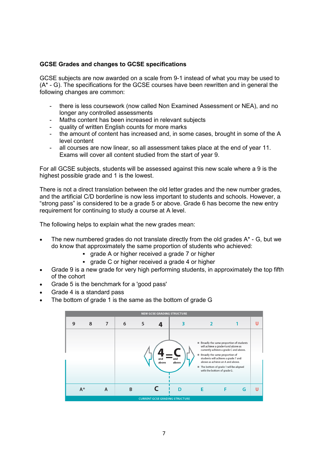#### **GCSE Grades and changes to GCSE specifications**

GCSE subjects are now awarded on a scale from 9-1 instead of what you may be used to  $(A^* - G)$ . The specifications for the GCSE courses have been rewritten and in general the following changes are common:

- there is less coursework (now called Non Examined Assessment or NEA), and no longer any controlled assessments
- Maths content has been increased in relevant subjects
- quality of written English counts for more marks
- the amount of content has increased and, in some cases, brought in some of the A level content
- all courses are now linear, so all assessment takes place at the end of year 11. Exams will cover all content studied from the start of year 9.

For all GCSE subjects, students will be assessed against this new scale where a 9 is the highest possible grade and 1 is the lowest.

There is not a direct translation between the old letter grades and the new number grades, and the artificial C/D borderline is now less important to students and schools. However, a "strong pass" is considered to be a grade 5 or above. Grade 6 has become the new entry requirement for continuing to study a course at A level.

The following helps to explain what the new grades mean:

- The new numbered grades do not translate directly from the old grades  $A^*$  G, but we do know that approximately the same proportion of students who achieved:
	- grade A or higher received a grade 7 or higher
	- grade C or higher received a grade 4 or higher
- Grade 9 is a new grade for very high performing students, in approximately the top fifth of the cohort
- Grade 5 is the benchmark for a 'good pass'
- Grade 4 is a standard pass
- The bottom of grade 1 is the same as the bottom of grade G

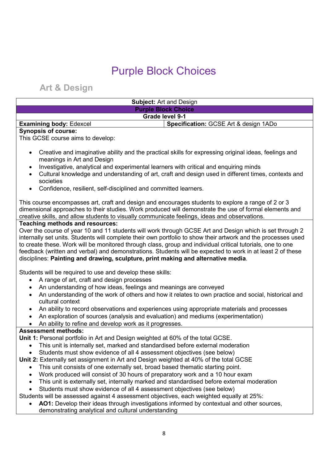## Purple Block Choices

**Art & Design**

| <b>Subject: Art and Design</b>                                                                                                                |                                                                                                                                                                                                            |  |
|-----------------------------------------------------------------------------------------------------------------------------------------------|------------------------------------------------------------------------------------------------------------------------------------------------------------------------------------------------------------|--|
|                                                                                                                                               | <b>Purple Block Choice</b>                                                                                                                                                                                 |  |
| <b>Grade level 9-1</b>                                                                                                                        |                                                                                                                                                                                                            |  |
| <b>Examining body: Edexcel</b>                                                                                                                | Specification: GCSE Art & design 1ADo                                                                                                                                                                      |  |
| <b>Synopsis of course:</b><br>This GCSE course aims to develop:                                                                               |                                                                                                                                                                                                            |  |
| $\bullet$<br>meanings in Art and Design<br>Investigative, analytical and experimental learners with critical and enquiring minds<br>$\bullet$ | Creative and imaginative ability and the practical skills for expressing original ideas, feelings and<br>Oultural knowledge and understanding of out oneft and design used in different times contexts and |  |

- Cultural knowledge and understanding of art, craft and design used in different times, contexts and societies
- Confidence, resilient, self-disciplined and committed learners.

This course encompasses art, craft and design and encourages students to explore a range of 2 or 3 dimensional approaches to their studies. Work produced will demonstrate the use of formal elements and creative skills, and allow students to visually communicate feelings, ideas and observations.

#### **Teaching methods and resources:**

Over the course of year 10 and 11 students will work through GCSE Art and Design which is set through 2 internally set units. Students will complete their own portfolio to show their artwork and the processes used to create these. Work will be monitored through class, group and individual critical tutorials, one to one feedback (written and verbal) and demonstrations. Students will be expected to work in at least 2 of these disciplines: **Painting and drawing, sculpture, print making and alternative media**.

Students will be required to use and develop these skills:

- A range of art, craft and design processes
- An understanding of how ideas, feelings and meanings are conveyed
- An understanding of the work of others and how it relates to own practice and social, historical and cultural context
- An ability to record observations and experiences using appropriate materials and processes
- An exploration of sources (analysis and evaluation) and mediums (experimentation)
- An ability to refine and develop work as it progresses.

#### **Assessment methods:**

**Unit 1:** Personal portfolio in Art and Design weighted at 60% of the total GCSE.

- This unit is internally set, marked and standardised before external moderation
- Students must show evidence of all 4 assessment objectives (see below)

**Unit 2:** Externally set assignment in Art and Design weighted at 40% of the total GCSE

- This unit consists of one externally set, broad based thematic starting point.
- Work produced will consist of 30 hours of preparatory work and a 10 hour exam
- This unit is externally set, internally marked and standardised before external moderation
- Students must show evidence of all 4 assessment objectives (see below)

Students will be assessed against 4 assessment objectives, each weighted equally at 25%:

- **AO1:** Develop their ideas through investigations informed by contextual and other sources,
- demonstrating analytical and cultural understanding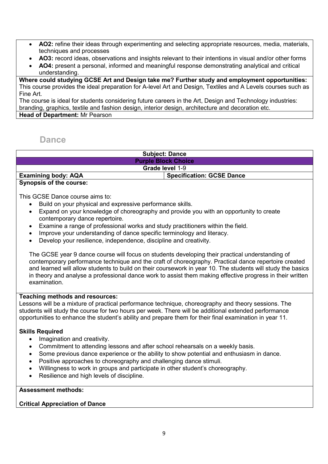- **AO2:** refine their ideas through experimenting and selecting appropriate resources, media, materials, techniques and processes
- **AO3:** record ideas, observations and insights relevant to their intentions in visual and/or other forms
- **AO4:** present a personal, informed and meaningful response demonstrating analytical and critical understanding.

**Where could studying GCSE Art and Design take me? Further study and employment opportunities:**  This course provides the ideal preparation for A-level Art and Design, Textiles and A Levels courses such as Fine Art.

The course is ideal for students considering future careers in the Art, Design and Technology industries: branding, graphics, textile and fashion design, interior design, architecture and decoration etc. **Head of Department:** Mr Pearson

## **Dance**

|                                | <b>Subject: Dance</b>            |  |
|--------------------------------|----------------------------------|--|
|                                | <b>Purple Block Choice</b>       |  |
| Grade level 1-9                |                                  |  |
| <b>Examining body: AQA</b>     | <b>Specification: GCSE Dance</b> |  |
| <b>Synopsis of the course:</b> |                                  |  |

This GCSE Dance course aims to:

- Build on your physical and expressive performance skills.
- Expand on your knowledge of choreography and provide you with an opportunity to create contemporary dance repertoire.
- Examine a range of professional works and study practitioners within the field.
- Improve your understanding of dance specific terminology and literacy.
- Develop your resilience, independence, discipline and creativity.

The GCSE year 9 dance course will focus on students developing their practical understanding of contemporary performance technique and the craft of choreography. Practical dance repertoire created and learned will allow students to build on their coursework in year 10. The students will study the basics in theory and analyse a professional dance work to assist them making effective progress in their written examination.

#### **Teaching methods and resources:**

Lessons will be a mixture of practical performance technique, choreography and theory sessions. The students will study the course for two hours per week. There will be additional extended performance opportunities to enhance the student's ability and prepare them for their final examination in year 11.

#### **Skills Required**

- Imagination and creativity.
- Commitment to attending lessons and after school rehearsals on a weekly basis.
- Some previous dance experience or the ability to show potential and enthusiasm in dance.
- Positive approaches to choreography and challenging dance stimuli.
- Willingness to work in groups and participate in other student's choreography.
- Resilience and high levels of discipline.

#### **Assessment methods:**

#### **Critical Appreciation of Dance**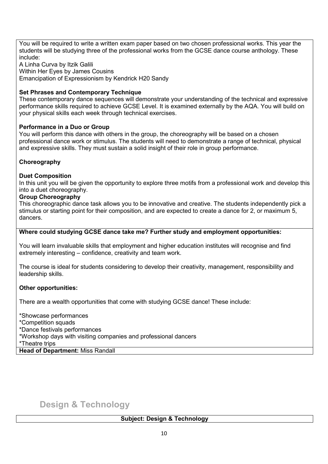You will be required to write a written exam paper based on two chosen professional works. This year the students will be studying three of the professional works from the GCSE dance course anthology. These include:

A Linha Curva by Itzik Galili Within Her Eyes by James Cousins Emancipation of Expressionism by Kendrick H20 Sandy

#### **Set Phrases and Contemporary Technique**

These contemporary dance sequences will demonstrate your understanding of the technical and expressive performance skills required to achieve GCSE Level. It is examined externally by the AQA. You will build on your physical skills each week through technical exercises.

#### **Performance in a Duo or Group**

You will perform this dance with others in the group, the choreography will be based on a chosen professional dance work or stimulus. The students will need to demonstrate a range of technical, physical and expressive skills. They must sustain a solid insight of their role in group performance.

#### **Choreography**

#### **Duet Composition**

In this unit you will be given the opportunity to explore three motifs from a professional work and develop this into a duet choreography.

#### **Group Choreography**

This choreographic dance task allows you to be innovative and creative. The students independently pick a stimulus or starting point for their composition, and are expected to create a dance for 2, or maximum 5, dancers.

#### **Where could studying GCSE dance take me? Further study and employment opportunities:**

You will learn invaluable skills that employment and higher education institutes will recognise and find extremely interesting – confidence, creativity and team work.

The course is ideal for students considering to develop their creativity, management, responsibility and leadership skills.

#### **Other opportunities:**

There are a wealth opportunities that come with studying GCSE dance! These include:

\*Showcase performances

\*Competition squads

\*Dance festivals performances

\*Workshop days with visiting companies and professional dancers

\*Theatre trips

**Head of Department:** Miss Randall

## **Design & Technology**

#### **Subject: Design & Technology**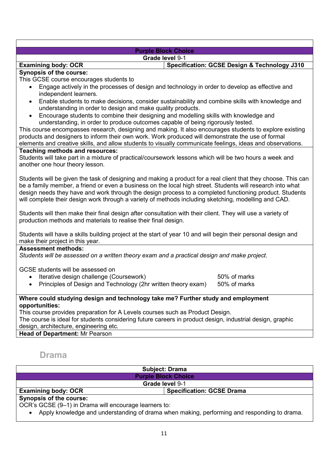#### **Purple Block Choice Grade level** 9-1

### **Examining body: OCR Specification: GCSE Design & Technology J310**

#### **Synopsis of the course:**

This GCSE course encourages students to

- Engage actively in the processes of design and technology in order to develop as effective and independent learners.
- Enable students to make decisions, consider sustainability and combine skills with knowledge and understanding in order to design and make quality products.
- Encourage students to combine their designing and modelling skills with knowledge and understanding, in order to produce outcomes capable of being rigorously tested.

This course encompasses research, designing and making. It also encourages students to explore existing products and designers to inform their own work. Work produced will demonstrate the use of formal elements and creative skills, and allow students to visually communicate feelings, ideas and observations.

#### **Teaching methods and resources:**

Students will take part in a mixture of practical/coursework lessons which will be two hours a week and another one hour theory lesson.

Students will be given the task of designing and making a product for a real client that they choose. This can be a family member, a friend or even a business on the local high street. Students will research into what design needs they have and work through the design process to a completed functioning product. Students will complete their design work through a variety of methods including sketching, modelling and CAD.

Students will then make their final design after consultation with their client. They will use a variety of production methods and materials to realise their final design.

Students will have a skills building project at the start of year 10 and will begin their personal design and make their project in this year.

#### **Assessment methods:**

*Students will be assessed on a written theory exam and a practical design and make project.* 

GCSE students will be assessed on

• Iterative design challenge (Coursework) 60% of marks

• Principles of Design and Technology (2hr written theory exam) 50% of marks

**Where could studying design and technology take me? Further study and employment opportunities:** 

This course provides preparation for A Levels courses such as Product Design.

The course is ideal for students considering future careers in product design, industrial design, graphic design, architecture, engineering etc.

**Head of Department:** Mr Pearson

## **Drama**

|                                | <b>Subject: Drama</b>            |  |
|--------------------------------|----------------------------------|--|
|                                | <b>Purple Block Choice</b>       |  |
|                                | Grade level 9-1                  |  |
| <b>Examining body: OCR</b>     | <b>Specification: GCSE Drama</b> |  |
| <b>Synopsis of the course:</b> |                                  |  |

OCR's GCSE (9–1) in Drama will encourage learners to:

• Apply knowledge and understanding of drama when making, performing and responding to drama.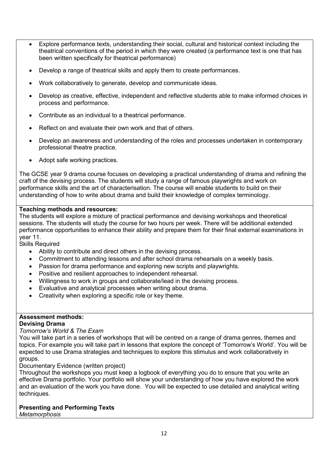- Explore performance texts, understanding their social, cultural and historical context including the theatrical conventions of the period in which they were created (a performance text is one that has been written specifically for theatrical performance)
- Develop a range of theatrical skills and apply them to create performances.
- Work collaboratively to generate, develop and communicate ideas.
- Develop as creative, effective, independent and reflective students able to make informed choices in process and performance.
- Contribute as an individual to a theatrical performance.
- Reflect on and evaluate their own work and that of others.
- Develop an awareness and understanding of the roles and processes undertaken in contemporary professional theatre practice.
- Adopt safe working practices.

The GCSE year 9 drama course focuses on developing a practical understanding of drama and refining the craft of the devising process. The students will study a range of famous playwrights and work on performance skills and the art of characterisation. The course will enable students to build on their understanding of how to write about drama and build their knowledge of complex terminology.

#### **Teaching methods and resources:**

The students will explore a mixture of practical performance and devising workshops and theoretical sessions. The students will study the course for two hours per week. There will be additional extended performance opportunities to enhance their ability and prepare them for their final external examinations in year 11.

Skills Required

- Ability to contribute and direct others in the devising process.
- Commitment to attending lessons and after school drama rehearsals on a weekly basis.
- Passion for drama performance and exploring new scripts and playwrights.
- Positive and resilient approaches to independent rehearsal.
- Willingness to work in groups and collaborate/lead in the devising process.
- Evaluative and analytical processes when writing about drama.
- Creativity when exploring a specific role or key theme.

#### **Assessment methods: Devising Drama**

#### *Tomorrow's World & The Exam*

You will take part in a series of workshops that will be centred on a range of drama genres, themes and topics. For example you will take part in lessons that explore the concept of 'Tomorrow's World'. You will be expected to use Drama strategies and techniques to explore this stimulus and work collaboratively in groups.

Documentary Evidence (written project)

Throughout the workshops you must keep a logbook of everything you do to ensure that you write an effective Drama portfolio. Your portfolio will show your understanding of how you have explored the work and an evaluation of the work you have done. You will be expected to use detailed and analytical writing techniques.

#### **Presenting and Performing Texts**

*Metamorphosis*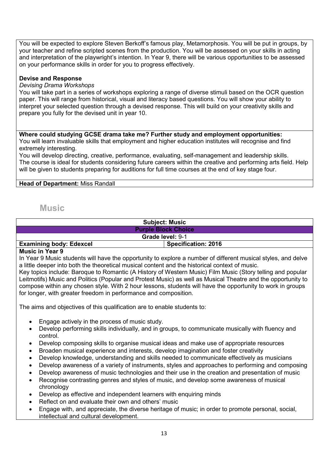You will be expected to explore Steven Berkoff's famous play, Metamorphosis. You will be put in groups, by your teacher and refine scripted scenes from the production. You will be assessed on your skills in acting and interpretation of the playwright's intention. In Year 9, there will be various opportunities to be assessed on your performance skills in order for you to progress effectively.

#### **Devise and Response**

#### *Devising Drama Workshops*

You will take part in a series of workshops exploring a range of diverse stimuli based on the OCR question paper. This will range from historical, visual and literacy based questions. You will show your ability to interpret your selected question through a devised response. This will build on your creativity skills and prepare you fully for the devised unit in year 10.

**Where could studying GCSE drama take me? Further study and employment opportunities:**  You will learn invaluable skills that employment and higher education institutes will recognise and find extremely interesting.

You will develop directing, creative, performance, evaluating, self-management and leadership skills. The course is ideal for students considering future careers within the creative and performing arts field. Help will be given to students preparing for auditions for full time courses at the end of key stage four.

#### **Head of Department:** Miss Randall

#### **Music**

| <b>Subject: Music</b>          |                            |  |
|--------------------------------|----------------------------|--|
| <b>Purple Block Choice</b>     |                            |  |
| <b>Grade level: 9-1</b>        |                            |  |
| <b>Examining body: Edexcel</b> | <b>Specification: 2016</b> |  |

#### **Music in Year 9**

In Year 9 Music students will have the opportunity to explore a number of different musical styles, and delve a little deeper into both the theoretical musical content and the historical context of music.

Key topics include: Baroque to Romantic (A History of Western Music) Film Music (Story telling and popular Leitmotifs) Music and Politics (Popular and Protest Music) as well as Musical Theatre and the opportunity to compose within any chosen style. With 2 hour lessons, students will have the opportunity to work in groups for longer, with greater freedom in performance and composition.

The aims and objectives of this qualification are to enable students to:

- Engage actively in the process of music study.
- Develop performing skills individually, and in groups, to communicate musically with fluency and control.
- Develop composing skills to organise musical ideas and make use of appropriate resources
- Broaden musical experience and interests, develop imagination and foster creativity
- Develop knowledge, understanding and skills needed to communicate effectively as musicians
- Develop awareness of a variety of instruments, styles and approaches to performing and composing
- Develop awareness of music technologies and their use in the creation and presentation of music
- Recognise contrasting genres and styles of music, and develop some awareness of musical chronology
- Develop as effective and independent learners with enquiring minds
- Reflect on and evaluate their own and others' music
- Engage with, and appreciate, the diverse heritage of music; in order to promote personal, social, intellectual and cultural development.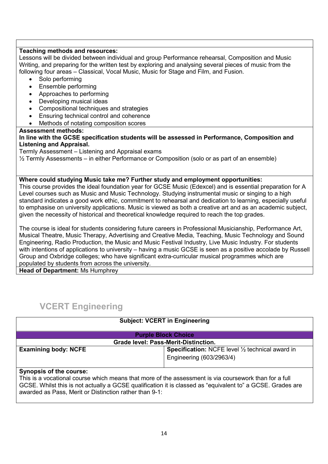#### **Teaching methods and resources:**

Lessons will be divided between individual and group Performance rehearsal, Composition and Music Writing, and preparing for the written test by exploring and analysing several pieces of music from the following four areas – Classical, Vocal Music, Music for Stage and Film, and Fusion.

- Solo performing
- Ensemble performing
- Approaches to performing
- Developing musical ideas
- Compositional techniques and strategies
- Ensuring technical control and coherence
- Methods of notating composition scores

#### **Assessment methods:**

#### **In line with the GCSE specification students will be assessed in Performance, Composition and Listening and Appraisal.**

Termly Assessment – Listening and Appraisal exams

½ Termly Assessments – in either Performance or Composition (solo or as part of an ensemble)

#### **Where could studying Music take me? Further study and employment opportunities:**

This course provides the ideal foundation year for GCSE Music (Edexcel) and is essential preparation for A Level courses such as Music and Music Technology. Studying instrumental music or singing to a high standard indicates a good work ethic, commitment to rehearsal and dedication to learning, especially useful to emphasise on university applications. Music is viewed as both a creative art and as an academic subject, given the necessity of historical and theoretical knowledge required to reach the top grades.

The course is ideal for students considering future careers in Professional Musicianship, Performance Art, Musical Theatre, Music Therapy, Advertising and Creative Media, Teaching, Music Technology and Sound Engineering, Radio Production, the Music and Music Festival Industry, Live Music Industry. For students with intentions of applications to university – having a music GCSE is seen as a positive accolade by Russell Group and Oxbridge colleges; who have significant extra-curricular musical programmes which are populated by students from across the university.

**Head of Department:** Ms Humphrey

## **VCERT Engineering**

|                                             | <b>Subject: VCERT in Engineering</b>                              |  |
|---------------------------------------------|-------------------------------------------------------------------|--|
|                                             | <b>Purple Block Choice</b>                                        |  |
| <b>Grade level: Pass-Merit-Distinction.</b> |                                                                   |  |
| <b>Examining body: NCFE</b>                 | <b>Specification:</b> NCFE level $\frac{1}{2}$ technical award in |  |
|                                             | Engineering (603/2963/4)                                          |  |
|                                             |                                                                   |  |

#### **Synopsis of the course:**

This is a vocational course which means that more of the assessment is via coursework than for a full GCSE. Whilst this is not actually a GCSE qualification it is classed as "equivalent to" a GCSE. Grades are awarded as Pass, Merit or Distinction rather than 9-1: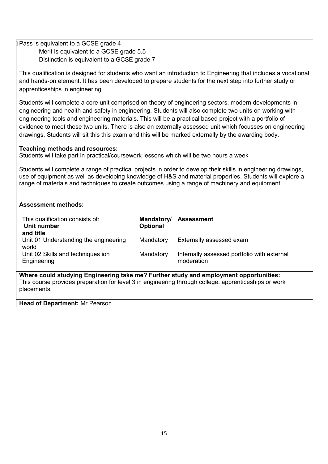| Pass is equivalent to a GCSE grade 4                                                                    |                 |                                                                                                                |  |
|---------------------------------------------------------------------------------------------------------|-----------------|----------------------------------------------------------------------------------------------------------------|--|
| Merit is equivalent to a GCSE grade 5.5                                                                 |                 |                                                                                                                |  |
| Distinction is equivalent to a GCSE grade 7                                                             |                 |                                                                                                                |  |
|                                                                                                         |                 |                                                                                                                |  |
|                                                                                                         |                 | This qualification is designed for students who want an introduction to Engineering that includes a vocational |  |
|                                                                                                         |                 | and hands-on element. It has been developed to prepare students for the next step into further study or        |  |
|                                                                                                         |                 |                                                                                                                |  |
| apprenticeships in engineering.                                                                         |                 |                                                                                                                |  |
|                                                                                                         |                 |                                                                                                                |  |
|                                                                                                         |                 | Students will complete a core unit comprised on theory of engineering sectors, modern developments in          |  |
|                                                                                                         |                 | engineering and health and safety in engineering. Students will also complete two units on working with        |  |
|                                                                                                         |                 |                                                                                                                |  |
| engineering tools and engineering materials. This will be a practical based project with a portfolio of |                 |                                                                                                                |  |
|                                                                                                         |                 | evidence to meet these two units. There is also an externally assessed unit which focusses on engineering      |  |
| drawings. Students will sit this this exam and this will be marked externally by the awarding body.     |                 |                                                                                                                |  |
|                                                                                                         |                 |                                                                                                                |  |
| <b>Teaching methods and resources:</b>                                                                  |                 |                                                                                                                |  |
| Students will take part in practical/coursework lessons which will be two hours a week                  |                 |                                                                                                                |  |
|                                                                                                         |                 |                                                                                                                |  |
|                                                                                                         |                 |                                                                                                                |  |
|                                                                                                         |                 | Students will complete a range of practical projects in order to develop their skills in engineering drawings, |  |
|                                                                                                         |                 | use of equipment as well as developing knowledge of H&S and material properties. Students will explore a       |  |
| range of materials and techniques to create outcomes using a range of machinery and equipment.          |                 |                                                                                                                |  |
|                                                                                                         |                 |                                                                                                                |  |
|                                                                                                         |                 |                                                                                                                |  |
| <b>Assessment methods:</b>                                                                              |                 |                                                                                                                |  |
|                                                                                                         |                 |                                                                                                                |  |
| This qualification consists of:                                                                         | Mandatory/      | <b>Assessment</b>                                                                                              |  |
| <b>Unit number</b>                                                                                      | <b>Optional</b> |                                                                                                                |  |
| and title                                                                                               |                 |                                                                                                                |  |
| Unit 01 Understanding the engineering                                                                   | Mandatory       | Externally assessed exam                                                                                       |  |
| world                                                                                                   |                 |                                                                                                                |  |
|                                                                                                         |                 |                                                                                                                |  |
| Unit 02 Skills and techniques ion                                                                       | Mandatory       | Internally assessed portfolio with external                                                                    |  |
| Engineering                                                                                             |                 | moderation                                                                                                     |  |
|                                                                                                         |                 |                                                                                                                |  |
| Where could studying Engineering take me? Further study and employment opportunities:                   |                 |                                                                                                                |  |
| This course provides preparation for level 3 in engineering through college, apprenticeships or work    |                 |                                                                                                                |  |
| placements.                                                                                             |                 |                                                                                                                |  |
|                                                                                                         |                 |                                                                                                                |  |

**Head of Department: Mr Pearson**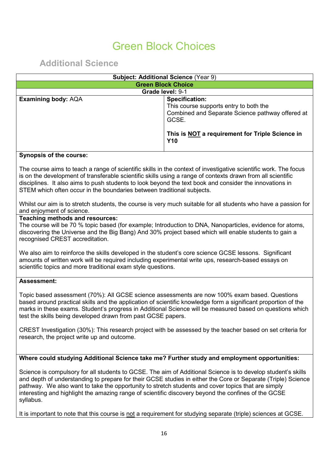## Green Block Choices

**Additional Science**

|                                                                                                                                                                                                                                                                                                                                                                                                                                                                                                          | Subject: Additional Science (Year 9)                                                                                                                                                          |  |
|----------------------------------------------------------------------------------------------------------------------------------------------------------------------------------------------------------------------------------------------------------------------------------------------------------------------------------------------------------------------------------------------------------------------------------------------------------------------------------------------------------|-----------------------------------------------------------------------------------------------------------------------------------------------------------------------------------------------|--|
| <b>Green Block Choice</b>                                                                                                                                                                                                                                                                                                                                                                                                                                                                                |                                                                                                                                                                                               |  |
|                                                                                                                                                                                                                                                                                                                                                                                                                                                                                                          | Grade level: 9-1                                                                                                                                                                              |  |
| <b>Examining body: AQA</b>                                                                                                                                                                                                                                                                                                                                                                                                                                                                               | <b>Specification:</b><br>This course supports entry to both the<br>Combined and Separate Science pathway offered at<br>GCSE.<br>This is NOT a requirement for Triple Science in<br><b>Y10</b> |  |
| <b>Synopsis of the course:</b>                                                                                                                                                                                                                                                                                                                                                                                                                                                                           |                                                                                                                                                                                               |  |
| The course aims to teach a range of scientific skills in the context of investigative scientific work. The focus<br>is on the development of transferable scientific skills using a range of contexts drawn from all scientific<br>disciplines. It also aims to push students to look beyond the text book and consider the innovations in<br>STEM which often occur in the boundaries between traditional subjects.<br>and enjoyment of science.                                                        | Whilst our aim is to stretch students, the course is very much suitable for all students who have a passion for                                                                               |  |
| Teaching methods and resources:<br>The course will be 70 % topic based (for example; Introduction to DNA, Nanoparticles, evidence for atoms,<br>discovering the Universe and the Big Bang) And 30% project based which will enable students to gain a<br>recognised CREST accreditation.<br>We also aim to reinforce the skills developed in the student's core science GCSE lessons. Significant<br>amounts of written work will be required including experimental write ups, research-based essays on |                                                                                                                                                                                               |  |
| scientific topics and more traditional exam style questions.<br><b>Assessment:</b>                                                                                                                                                                                                                                                                                                                                                                                                                       |                                                                                                                                                                                               |  |
| Topic based assessment (70%): All GCSE science assessments are now 100% exam based. Questions<br>based around practical skills and the application of scientific knowledge form a significant proportion of the<br>test the skills being developed drawn from past GCSE papers.                                                                                                                                                                                                                          | marks in these exams. Student's progress in Additional Science will be measured based on questions which                                                                                      |  |
| CREST Investigation (30%): This research project with be assessed by the teacher based on set criteria for<br>research, the project write up and outcome.                                                                                                                                                                                                                                                                                                                                                |                                                                                                                                                                                               |  |
| Where could studying Additional Science take me? Further study and employment opportunities:                                                                                                                                                                                                                                                                                                                                                                                                             |                                                                                                                                                                                               |  |
| Science is compulsory for all students to GCSE. The aim of Additional Science is to develop student's skills<br>pathway. We also want to take the opportunity to stretch students and cover topics that are simply<br>interesting and highlight the amazing range of scientific discovery beyond the confines of the GCSE<br>syllabus.                                                                                                                                                                   | and depth of understanding to prepare for their GCSE studies in either the Core or Separate (Triple) Science                                                                                  |  |
| It is important to note that this course is not a requirement for studying separate (triple) sciences at GCSE.                                                                                                                                                                                                                                                                                                                                                                                           |                                                                                                                                                                                               |  |
|                                                                                                                                                                                                                                                                                                                                                                                                                                                                                                          |                                                                                                                                                                                               |  |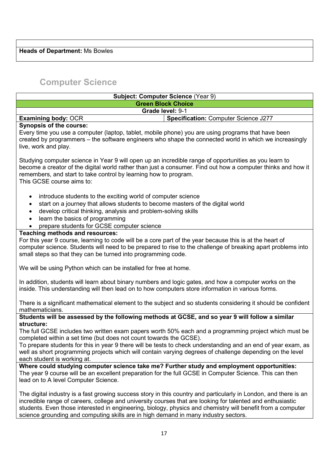#### **Heads of Department:** Ms Bowles

## **Computer Science**

| <b>Subject: Computer Science (Year 9)</b>                                                                                                                                                                                                                                                                                                                                                                                                              |                                      |
|--------------------------------------------------------------------------------------------------------------------------------------------------------------------------------------------------------------------------------------------------------------------------------------------------------------------------------------------------------------------------------------------------------------------------------------------------------|--------------------------------------|
| <b>Green Block Choice</b>                                                                                                                                                                                                                                                                                                                                                                                                                              |                                      |
| Grade level: 9-1                                                                                                                                                                                                                                                                                                                                                                                                                                       |                                      |
| <b>Examining body: OCR</b>                                                                                                                                                                                                                                                                                                                                                                                                                             | Specification: Computer Science J277 |
| <b>Synopsis of the course:</b><br>Every time you use a computer (laptop, tablet, mobile phone) you are using programs that have been<br>created by programmers – the software engineers who shape the connected world in which we increasingly<br>live, work and play.                                                                                                                                                                                 |                                      |
| Studying computer science in Year 9 will open up an incredible range of opportunities as you learn to<br>become a creator of the digital world rather than just a consumer. Find out how a computer thinks and how it<br>remembers, and start to take control by learning how to program.<br>This GCSE course aims to:                                                                                                                                 |                                      |
| introduce students to the exciting world of computer science<br>start on a journey that allows students to become masters of the digital world<br>$\bullet$<br>develop critical thinking, analysis and problem-solving skills<br>learn the basics of programming<br>prepare students for GCSE computer science                                                                                                                                         |                                      |
| <b>Teaching methods and resources:</b><br>For this year 9 course, learning to code will be a core part of the year because this is at the heart of<br>computer science. Students will need to be prepared to rise to the challenge of breaking apart problems into<br>small steps so that they can be turned into programming code.                                                                                                                    |                                      |
| We will be using Python which can be installed for free at home.                                                                                                                                                                                                                                                                                                                                                                                       |                                      |
| In addition, students will learn about binary numbers and logic gates, and how a computer works on the<br>inside. This understanding will then lead on to how computers store information in various forms.                                                                                                                                                                                                                                            |                                      |
| There is a significant mathematical element to the subject and so students considering it should be confident<br>mathematicians.                                                                                                                                                                                                                                                                                                                       |                                      |
| Students will be assessed by the following methods at GCSE, and so year 9 will follow a similar                                                                                                                                                                                                                                                                                                                                                        |                                      |
| structure:<br>The full GCSE includes two written exam papers worth 50% each and a programming project which must be<br>completed within a set time (but does not count towards the GCSE).<br>To prepare students for this in year 9 there will be tests to check understanding and an end of year exam, as<br>well as short programming projects which will contain varying degrees of challenge depending on the level<br>each student is working at. |                                      |
| Where could studying computer science take me? Further study and employment opportunities:<br>The year 9 course will be an excellent preparation for the full GCSE in Computer Science. This can then<br>lead on to A level Computer Science.                                                                                                                                                                                                          |                                      |
| The digital industry is a fast growing success story in this country and particularly in London, and there is an<br>incredible range of careers, college and university courses that are looking for talented and enthusiastic<br>students. Even those interested in engineering, biology, physics and chemistry will benefit from a computer<br>science grounding and computing skills are in high demand in many industry sectors.                   |                                      |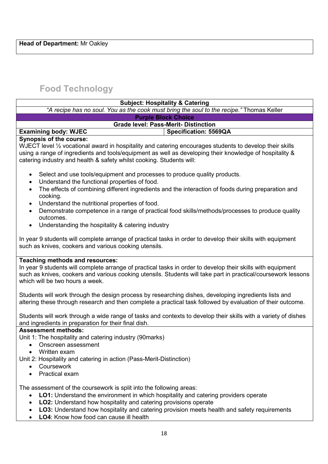## **Food Technology**

| <b>Subject: Hospitality &amp; Catering</b>                                                                                                                                                                                                                                                                                                 |
|--------------------------------------------------------------------------------------------------------------------------------------------------------------------------------------------------------------------------------------------------------------------------------------------------------------------------------------------|
| "A recipe has no soul. You as the cook must bring the soul to the recipe." Thomas Keller                                                                                                                                                                                                                                                   |
| <b>Purple Block Choice</b>                                                                                                                                                                                                                                                                                                                 |
| <b>Grade level: Pass-Merit- Distinction</b>                                                                                                                                                                                                                                                                                                |
| <b>Examining body: WJEC</b><br>Specification: 5569QA                                                                                                                                                                                                                                                                                       |
| <b>Synopsis of the course:</b><br>WJECT level 1/2 vocational award in hospitality and catering encourages students to develop their skills<br>using a range of ingredients and tools/equipment as well as developing their knowledge of hospitality &<br>catering industry and health & safety whilst cooking. Students will:              |
| Select and use tools/equipment and processes to produce quality products.<br>٠<br>Understand the functional properties of food.<br>$\bullet$<br>The effects of combining different ingredients and the interaction of foods during preparation and<br>$\bullet$<br>cooking.<br>Understand the nutritional properties of food.<br>$\bullet$ |
| Demonstrate competence in a range of practical food skills/methods/processes to produce quality<br>$\bullet$<br>outcomes.<br>Understanding the hospitality & catering industry<br>$\bullet$                                                                                                                                                |
| In year 9 students will complete arrange of practical tasks in order to develop their skills with equipment<br>such as knives, cookers and various cooking utensils.                                                                                                                                                                       |
| <b>Teaching methods and resources:</b><br>In year 9 students will complete arrange of practical tasks in order to develop their skills with equipment<br>such as knives, cookers and various cooking utensils. Students will take part in practical/coursework lessons<br>which will be two hours a week.                                  |
| Students will work through the design process by researching dishes, developing ingredients lists and<br>altering these through research and then complete a practical task followed by evaluation of their outcome.                                                                                                                       |
| Students will work through a wide range of tasks and contexts to develop their skills with a variety of dishes<br>and ingredients in preparation for their final dish.                                                                                                                                                                     |
| <b>Assessment methods:</b><br>Unit 1: The hospitality and catering industry (90 marks)<br>Onscreen assessment<br>Written exam<br>Unit 2: Hospitality and catering in action (Pass-Merit-Distinction)<br>Coursework<br>Practical exam                                                                                                       |
| The assessment of the coursework is split into the following areas:<br>LO1: Understand the environment in which hospitality and catering providers operate<br>LO2: Understand how hospitality and catering provisions operate                                                                                                              |

- **LO3:** Understand how hospitality and catering provision meets health and safety requirements
- **LO4**: Know how food can cause ill health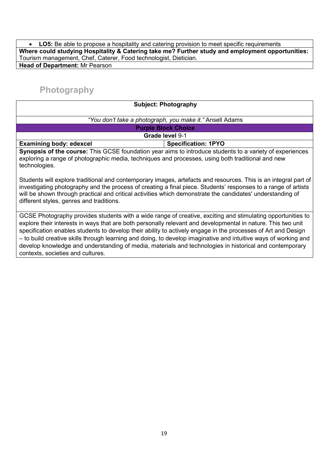• **LO5:** Be able to propose a hospitality and catering provision to meet specific requirements **Where could studying Hospitality & Catering take me? Further study and employment opportunities:**  Tourism management, Chef, Caterer, Food technologist, Dietician. **Head of Department:** Mr Pearson

## **Photography**

| <b>Subject: Photography</b>                                                                                                                                                                                                    |                            |  |
|--------------------------------------------------------------------------------------------------------------------------------------------------------------------------------------------------------------------------------|----------------------------|--|
| "You don't take a photograph, you make it." Ansell Adams                                                                                                                                                                       |                            |  |
| <b>Purple Block Choice</b>                                                                                                                                                                                                     |                            |  |
| Grade level 9-1                                                                                                                                                                                                                |                            |  |
| <b>Examining body: edexcel</b>                                                                                                                                                                                                 | <b>Specification: 1PYO</b> |  |
| Synopsis of the course: This GCSE foundation year aims to introduce students to a variety of experiences<br>exploring a range of photographic media, techniques and processes, using both traditional and new<br>technologies. |                            |  |

Students will explore traditional and contemporary images, artefacts and resources. This is an integral part of investigating photography and the process of creating a final piece. Students' responses to a range of artists will be shown through practical and critical activities which demonstrate the candidates' understanding of different styles, genres and traditions.

GCSE Photography provides students with a wide range of creative, exciting and stimulating opportunities to explore their interests in ways that are both personally relevant and developmental in nature. This two unit specification enables students to develop their ability to actively engage in the processes of Art and Design – to build creative skills through learning and doing, to develop imaginative and intuitive ways of working and develop knowledge and understanding of media, materials and technologies in historical and contemporary contexts, societies and cultures.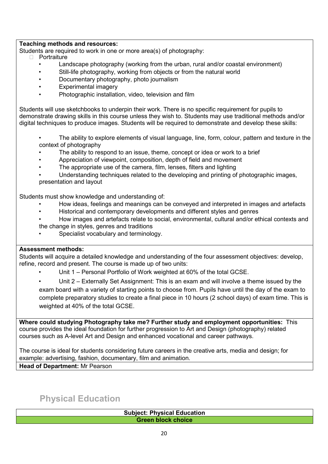#### **Teaching methods and resources:**

Students are required to work in one or more area(s) of photography:

- D Portraiture
	- Landscape photography (working from the urban, rural and/or coastal environment)
		- Still-life photography, working from objects or from the natural world
	- Documentary photography, photo journalism
	- Experimental imagery
	- Photographic installation, video, television and film

Students will use sketchbooks to underpin their work. There is no specific requirement for pupils to demonstrate drawing skills in this course unless they wish to. Students may use traditional methods and/or digital techniques to produce images. Students will be required to demonstrate and develop these skills:

- The ability to explore elements of visual language, line, form, colour, pattern and texture in the context of photography
- The ability to respond to an issue, theme, concept or idea or work to a brief
- Appreciation of viewpoint, composition, depth of field and movement
- The appropriate use of the camera, film, lenses, filters and lighting
- Understanding techniques related to the developing and printing of photographic images, presentation and layout

Students must show knowledge and understanding of:

- How ideas, feelings and meanings can be conveyed and interpreted in images and artefacts
- Historical and contemporary developments and different styles and genres
- How images and artefacts relate to social, environmental, cultural and/or ethical contexts and the change in styles, genres and traditions
- Specialist vocabulary and terminology.

#### **Assessment methods:**

Students will acquire a detailed knowledge and understanding of the four assessment objectives: develop, refine, record and present. The course is made up of two units:

- Unit 1 Personal Portfolio of Work weighted at 60% of the total GCSE.
- Unit 2 Externally Set Assignment: This is an exam and will involve a theme issued by the exam board with a variety of starting points to choose from. Pupils have until the day of the exam to complete preparatory studies to create a final piece in 10 hours (2 school days) of exam time. This is weighted at 40% of the total GCSE.

**Where could studying Photography take me? Further study and employment opportunities:** This course provides the ideal foundation for further progression to Art and Design (photography) related courses such as A-level Art and Design and enhanced vocational and career pathways.

The course is ideal for students considering future careers in the creative arts, media and design; for example: advertising, fashion, documentary, film and animation.

**Head of Department:** Mr Pearson

**Physical Education**

**Subject: Physical Education Green block choice**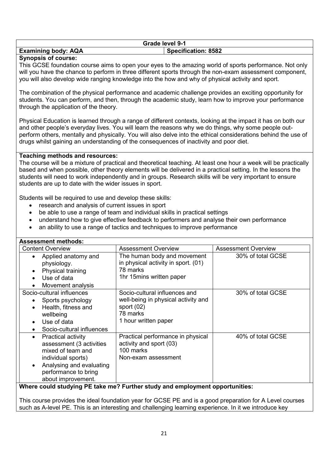| Grade level 9-1                                          |  |
|----------------------------------------------------------|--|
| <b>Specification: 8582</b><br><b>Examining body: AQA</b> |  |

#### **Synopsis of course:**

This GCSE foundation course aims to open your eyes to the amazing world of sports performance. Not only will you have the chance to perform in three different sports through the non-exam assessment component, you will also develop wide ranging knowledge into the how and why of physical activity and sport.

The combination of the physical performance and academic challenge provides an exciting opportunity for students. You can perform, and then, through the academic study, learn how to improve your performance through the application of the theory.

Physical Education is learned through a range of different contexts, looking at the impact it has on both our and other people's everyday lives. You will learn the reasons why we do things, why some people outperform others, mentally and physically. You will also delve into the ethical considerations behind the use of drugs whilst gaining an understanding of the consequences of inactivity and poor diet.

#### **Teaching methods and resources:**

The course will be a mixture of practical and theoretical teaching. At least one hour a week will be practically based and when possible, other theory elements will be delivered in a practical setting. In the lessons the students will need to work independently and in groups. Research skills will be very important to ensure students are up to date with the wider issues in sport.

Students will be required to use and develop these skills:

- research and analysis of current issues in sport
- be able to use a range of team and individual skills in practical settings
- understand how to give effective feedback to performers and analyse their own performance
- an ability to use a range of tactics and techniques to improve performance

| <b>Assessment methods:</b>                                                                                                                                                              |                                                                                                                          |                            |
|-----------------------------------------------------------------------------------------------------------------------------------------------------------------------------------------|--------------------------------------------------------------------------------------------------------------------------|----------------------------|
| <b>Content Overview</b>                                                                                                                                                                 | <b>Assessment Overview</b>                                                                                               | <b>Assessment Overview</b> |
| Applied anatomy and<br>physiology.<br>Physical training<br>Use of data<br>Movement analysis                                                                                             | The human body and movement<br>in physical activity in sport. (01)<br>78 marks<br>1hr 15mins written paper               | 30% of total GCSE          |
| Socio-cultural influences<br>Sports psychology<br>Health, fitness and<br>wellbeing<br>Use of data<br>Socio-cultural influences                                                          | Socio-cultural influences and<br>well-being in physical activity and<br>sport $(02)$<br>78 marks<br>1 hour written paper | 30% of total GCSE          |
| <b>Practical activity</b><br>$\bullet$<br>assessment (3 activities<br>mixed of team and<br>individual sports)<br>Analysing and evaluating<br>performance to bring<br>about improvement. | Practical performance in physical<br>activity and sport (03)<br>100 marks<br>Non-exam assessment                         | 40% of total GCSE          |

**Where could studying PE take me? Further study and employment opportunities:** 

This course provides the ideal foundation year for GCSE PE and is a good preparation for A Level courses such as A-level PE. This is an interesting and challenging learning experience. In it we introduce key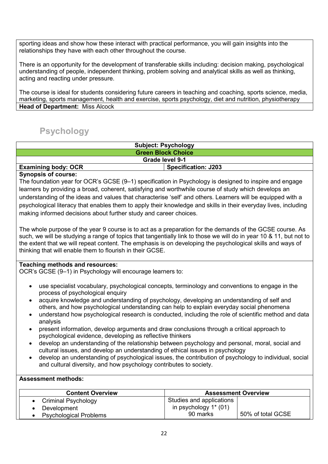sporting ideas and show how these interact with practical performance, you will gain insights into the relationships they have with each other throughout the course.

There is an opportunity for the development of transferable skills including: decision making, psychological understanding of people, independent thinking, problem solving and analytical skills as well as thinking, acting and reacting under pressure.

The course is ideal for students considering future careers in teaching and coaching, sports science, media, marketing, sports management, health and exercise, sports psychology, diet and nutrition, physiotherapy **Head of Department:** Miss Alcock

## **Psychology**

| <b>Subject: Psychology</b>                               |  |  |
|----------------------------------------------------------|--|--|
| <b>Green Block Choice</b>                                |  |  |
| <b>Grade level 9-1</b>                                   |  |  |
| <b>Examining body: OCR</b><br><b>Specification: J203</b> |  |  |
|                                                          |  |  |

#### **Synopsis of course:**

The foundation year for OCR's GCSE (9–1) specification in Psychology is designed to inspire and engage learners by providing a broad, coherent, satisfying and worthwhile course of study which develops an understanding of the ideas and values that characterise 'self' and others. Learners will be equipped with a psychological literacy that enables them to apply their knowledge and skills in their everyday lives, including making informed decisions about further study and career choices.

The whole purpose of the year 9 course is to act as a preparation for the demands of the GCSE course. As such, we will be studying a range of topics that tangentially link to those we will do in year 10 & 11, but not to the extent that we will repeat content. The emphasis is on developing the psychological skills and ways of thinking that will enable them to flourish in their GCSE.

#### **Teaching methods and resources:**

OCR's GCSE (9–1) in Psychology will encourage learners to:

- use specialist vocabulary, psychological concepts, terminology and conventions to engage in the process of psychological enquiry
- acquire knowledge and understanding of psychology, developing an understanding of self and others, and how psychological understanding can help to explain everyday social phenomena
- understand how psychological research is conducted, including the role of scientific method and data analysis
- present information, develop arguments and draw conclusions through a critical approach to psychological evidence, developing as reflective thinkers
- develop an understanding of the relationship between psychology and personal, moral, social and cultural issues, and develop an understanding of ethical issues in psychology
- develop an understanding of psychological issues, the contribution of psychology to individual, social and cultural diversity, and how psychology contributes to society.

#### **Assessment methods:**

| <b>Content Overview</b>       | <b>Assessment Overview</b> |                   |
|-------------------------------|----------------------------|-------------------|
| • Criminal Psychology         | Studies and applications   |                   |
| Development                   | in psychology $1^*$ (01)   |                   |
| <b>Psychological Problems</b> | 90 marks                   | 50% of total GCSE |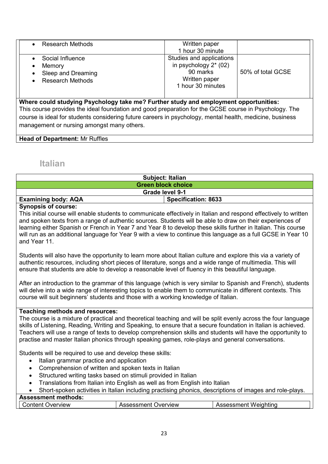| <b>Research Methods</b>                                                     | Written paper<br>1 hour 30 minute                                                                      |                   |
|-----------------------------------------------------------------------------|--------------------------------------------------------------------------------------------------------|-------------------|
| Social Influence<br>Memory<br>Sleep and Dreaming<br><b>Research Methods</b> | Studies and applications<br>in psychology $2^*$ (02)<br>90 marks<br>Written paper<br>1 hour 30 minutes | 50% of total GCSE |

**Where could studying Psychology take me? Further study and employment opportunities:**  This course provides the ideal foundation and good preparation for the GCSE course in Psychology. The course is ideal for students considering future careers in psychology, mental health, medicine, business management or nursing amongst many others.

**Head of Department:** Mr Ruffles

### **Italian**

| <b>Subject: Italian</b>                                  |  |  |
|----------------------------------------------------------|--|--|
| <b>Green block choice</b>                                |  |  |
| Grade level 9-1                                          |  |  |
| <b>Examining body: AQA</b><br><b>Specification: 8633</b> |  |  |
|                                                          |  |  |

#### **Synopsis of course:**

This initial course will enable students to communicate effectively in Italian and respond effectively to written and spoken texts from a range of authentic sources. Students will be able to draw on their experiences of learning either Spanish or French in Year 7 and Year 8 to develop these skills further in Italian. This course will run as an additional language for Year 9 with a view to continue this language as a full GCSE in Year 10 and Year 11.

Students will also have the opportunity to learn more about Italian culture and explore this via a variety of authentic resources, including short pieces of literature, songs and a wide range of multimedia. This will ensure that students are able to develop a reasonable level of fluency in this beautiful language.

After an introduction to the grammar of this language (which is very similar to Spanish and French), students will delve into a wide range of interesting topics to enable them to communicate in different contexts. This course will suit beginners' students and those with a working knowledge of Italian.

#### **Teaching methods and resources:**

The course is a mixture of practical and theoretical teaching and will be split evenly across the four language skills of Listening, Reading, Writing and Speaking, to ensure that a secure foundation in Italian is achieved. Teachers will use a range of texts to develop comprehension skills and students will have the opportunity to practise and master Italian phonics through speaking games, role-plays and general conversations.

Students will be required to use and develop these skills:

- Italian grammar practice and application
- Comprehension of written and spoken texts in Italian
- Structured writing tasks based on stimuli provided in Italian
- Translations from Italian into English as well as from English into Italian
- Short-spoken activities in Italian including practising phonics, descriptions of images and role-plays.

#### **Assessment methods:**

| erview<br>------<br>wer<br>эr | )verview<br>. | . .<br>.<br>مصدر المعاملات<br><b>WVE</b><br>.<br>m |
|-------------------------------|---------------|----------------------------------------------------|
|                               |               |                                                    |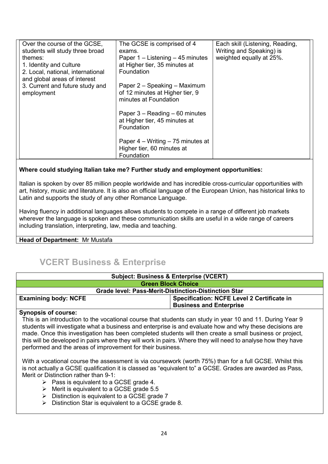| Over the course of the GCSE,<br>students will study three broad | The GCSE is comprised of 4<br>exams.                                            | Each skill (Listening, Reading,<br>Writing and Speaking) is |
|-----------------------------------------------------------------|---------------------------------------------------------------------------------|-------------------------------------------------------------|
| themes:                                                         | Paper $1 -$ Listening $- 45$ minutes                                            | weighted equally at 25%.                                    |
| 1. Identity and Culture<br>2. Local, national, international    | at Higher tier, 35 minutes at<br>Foundation                                     |                                                             |
| and global areas of interest                                    |                                                                                 |                                                             |
| 3. Current and future study and<br>employment                   | Paper 2 – Speaking – Maximum<br>of 12 minutes at Higher tier, 9                 |                                                             |
|                                                                 | minutes at Foundation                                                           |                                                             |
|                                                                 | Paper $3 - Reading - 60$ minutes<br>at Higher tier, 45 minutes at<br>Foundation |                                                             |
|                                                                 | Paper $4 - W$ riting $-75$ minutes at                                           |                                                             |
|                                                                 | Higher tier, 60 minutes at<br>Foundation                                        |                                                             |

#### **Where could studying Italian take me? Further study and employment opportunities:**

Italian is spoken by over 85 million people worldwide and has incredible cross-curricular opportunities with art, history, music and literature. It is also an official language of the European Union, has historical links to Latin and supports the study of any other Romance Language.

Having fluency in additional languages allows students to compete in a range of different job markets wherever the language is spoken and these communication skills are useful in a wide range of careers including translation, interpreting, law, media and teaching.

#### **Head of Department:** Mr Mustafa

## **VCERT Business & Enterprise**

| <b>Subject: Business &amp; Enterprise (VCERT)</b>                                |  |  |
|----------------------------------------------------------------------------------|--|--|
| <b>Green Block Choice</b>                                                        |  |  |
| <b>Grade level: Pass-Merit-Distinction-Distinction Star</b>                      |  |  |
| <b>Examining body: NCFE</b><br><b>Specification: NCFE Level 2 Certificate in</b> |  |  |
| <b>Business and Enterprise</b>                                                   |  |  |

#### **Synopsis of course:**

This is an introduction to the vocational course that students can study in year 10 and 11. During Year 9 students will investigate what a business and enterprise is and evaluate how and why these decisions are made. Once this investigation has been completed students will then create a small business or project, this will be developed in pairs where they will work in pairs. Where they will need to analyse how they have performed and the areas of improvement for their business.

With a vocational course the assessment is via coursework (worth 75%) than for a full GCSE. Whilst this is not actually a GCSE qualification it is classed as "equivalent to" a GCSE. Grades are awarded as Pass, Merit or Distinction rather than 9-1:

- $\triangleright$  Pass is equivalent to a GCSE grade 4.
- $\triangleright$  Merit is equivalent to a GCSE grade 5.5
- $\triangleright$  Distinction is equivalent to a GCSE grade 7
- $\triangleright$  Distinction Star is equivalent to a GCSE grade 8.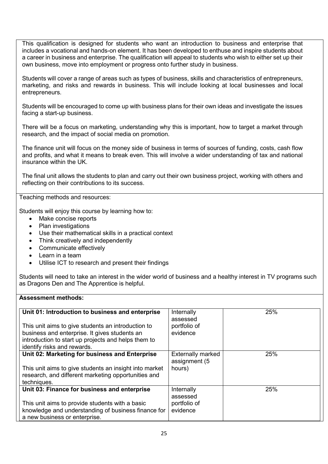This qualification is designed for students who want an introduction to business and enterprise that includes a vocational and hands-on element. It has been developed to enthuse and inspire students about a career in business and enterprise. The qualification will appeal to students who wish to either set up their own business, move into employment or progress onto further study in business.

Students will cover a range of areas such as types of business, skills and characteristics of entrepreneurs, marketing, and risks and rewards in business. This will include looking at local businesses and local entrepreneurs.

Students will be encouraged to come up with business plans for their own ideas and investigate the issues facing a start-up business.

There will be a focus on marketing, understanding why this is important, how to target a market through research, and the impact of social media on promotion.

The finance unit will focus on the money side of business in terms of sources of funding, costs, cash flow and profits, and what it means to break even. This will involve a wider understanding of tax and national insurance within the UK.

The final unit allows the students to plan and carry out their own business project, working with others and reflecting on their contributions to its success.

Teaching methods and resources:

Students will enjoy this course by learning how to:

- Make concise reports
- Plan investigations
- Use their mathematical skills in a practical context
- Think creatively and independently
- Communicate effectively
- Learn in a team
- Utilise ICT to research and present their findings

Students will need to take an interest in the wider world of business and a healthy interest in TV programs such as Dragons Den and The Apprentice is helpful.

#### **Assessment methods:**

| Unit 01: Introduction to business and enterprise<br>This unit aims to give students an introduction to<br>business and enterprise. It gives students an<br>introduction to start up projects and helps them to<br>identify risks and rewards. | Internally<br>assessed<br>portfolio of<br>evidence  | 25% |
|-----------------------------------------------------------------------------------------------------------------------------------------------------------------------------------------------------------------------------------------------|-----------------------------------------------------|-----|
| Unit 02: Marketing for business and Enterprise<br>This unit aims to give students an insight into market<br>research, and different marketing opportunities and<br>techniques.                                                                | <b>Externally marked</b><br>assignment (5<br>hours) | 25% |
| Unit 03: Finance for business and enterprise<br>This unit aims to provide students with a basic<br>knowledge and understanding of business finance for<br>a new business or enterprise.                                                       | Internally<br>assessed<br>portfolio of<br>evidence  | 25% |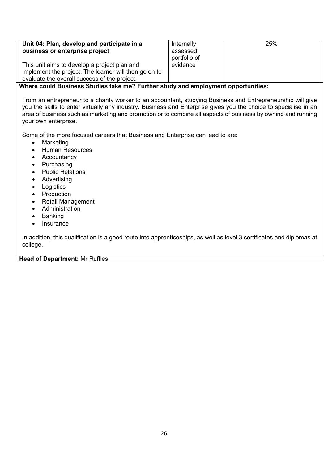| Unit 04: Plan, develop and participate in a<br>business or enterprise project                                                                         | Internally<br>assessed<br>portfolio of | 25% |
|-------------------------------------------------------------------------------------------------------------------------------------------------------|----------------------------------------|-----|
| This unit aims to develop a project plan and<br>implement the project. The learner will then go on to<br>evaluate the overall success of the project. | evidence                               |     |

#### **Where could Business Studies take me? Further study and employment opportunities:**

From an entrepreneur to a charity worker to an accountant, studying Business and Entrepreneurship will give you the skills to enter virtually any industry. Business and Enterprise gives you the choice to specialise in an area of business such as marketing and promotion or to combine all aspects of business by owning and running your own enterprise.

Some of the more focused careers that Business and Enterprise can lead to are:

- Marketing
- Human Resources
- Accountancy
- Purchasing
- Public Relations
- Advertising
- Logistics
- Production
- Retail Management
- Administration
- Banking
- Insurance

In addition, this qualification is a good route into apprenticeships, as well as level 3 certificates and diplomas at college.

#### **Head of Department:** Mr Ruffles